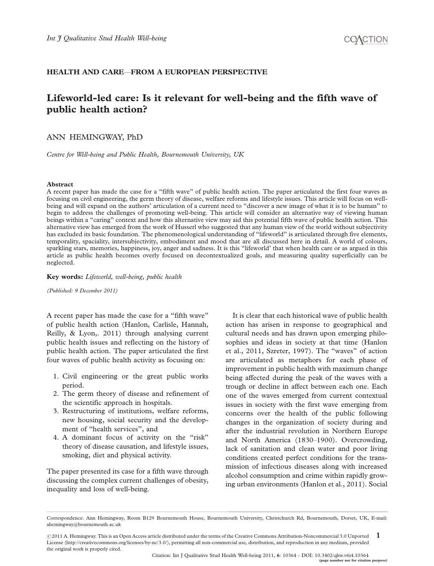#### HEALTH AND CARE–FROM A EUROPEAN PERSPECTIVE

# Lifeworld-led care: Is it relevant for well-being and the fifth wave of public health action?

### ANN HEMINGWAY, PhD

Centre for Well-being and Public Health, Bournemouth University, UK

#### Abstract

A recent paper has made the case for a ''fifth wave'' of public health action. The paper articulated the first four waves as focusing on civil engineering, the germ theory of disease, welfare reforms and lifestyle issues. This article will focus on wellbeing and will expand on the authors' articulation of a current need to ''discover a new image of what it is to be human'' to begin to address the challenges of promoting well-being. This article will consider an alternative way of viewing human beings within a "caring" context and how this alternative view may aid this potential fifth wave of public health action. This alternative view has emerged from the work of Husserl who suggested that any human view of the world without subjectivity has excluded its basic foundation. The phenomenological understanding of ''lifeworld'' is articulated through five elements, temporality, spaciality, intersubjectivity, embodiment and mood that are all discussed here in detail. A world of colours, sparkling stars, memories, happiness, joy, anger and sadness. It is this ''lifeworld' that when health care or as argued in this article as public health becomes overly focused on decontextualized goals, and measuring quality superficially can be neglected.

Key words: Lifeworld, well-being, public health

(Published: 9 December 2011)

A recent paper has made the case for a ''fifth wave'' of public health action (Hanlon, Carlisle, Hannah, Reilly, & Lyon,. 2011) through analysing current public health issues and reflecting on the history of public health action. The paper articulated the first four waves of public health activity as focusing on:

- 1. Civil engineering or the great public works period.
- 2. The germ theory of disease and refinement of the scientific approach in hospitals.
- 3. Restructuring of institutions, welfare reforms, new housing, social security and the development of ''health services'', and
- 4. A dominant focus of activity on the "risk" theory of disease causation, and lifestyle issues, smoking, diet and physical activity.

The paper presented its case for a fifth wave through discussing the complex current challenges of obesity, inequality and loss of well-being.

It is clear that each historical wave of public health action has arisen in response to geographical and cultural needs and has drawn upon emerging philosophies and ideas in society at that time (Hanlon et al., 2011, Szreter, 1997). The ''waves'' of action are articulated as metaphors for each phase of improvement in public health with maximum change being affected during the peak of the waves with a trough or decline in affect between each one. Each one of the waves emerged from current contextual issues in society with the first wave emerging from concerns over the health of the public following changes in the organization of society during and after the industrial revolution in Northern Europe and North America (1830-1900). Overcrowding, lack of sanitation and clean water and poor living conditions created perfect conditions for the transmission of infectious diseases along with increased alcohol consumption and crime within rapidly growing urban environments (Hanlon et al., 2011). Social

Correspondence: Ann Hemingway, Room B129 Bournemouth House, Bournemouth University, Christchurch Rd, Bournemouth, Dorset, UK, E-mail: ahemingway@bournemouth.ac.uk

 $\odot$ 2011 A. Hemingway. This is an Open Access article distributed under the terms of the Creative Commons Attribution-Noncommercial 3.0 Unported  $\quad$   $1$ License (http://creativecommons.org/licenses/by-nc/3.0/), permitting all non-commercial use, distribution, and reproduction in any medium, provided the original work is properly cited.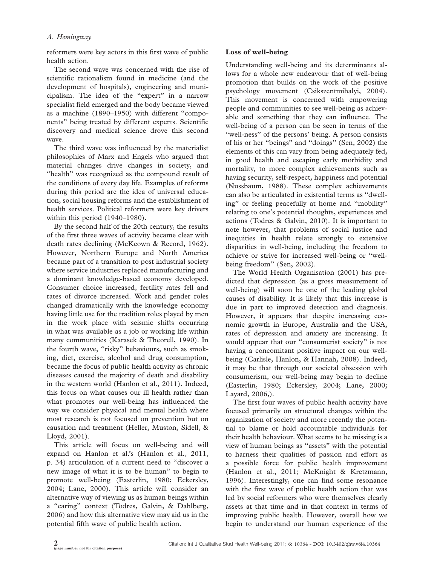## A. Hemingway

reformers were key actors in this first wave of public health action.

The second wave was concerned with the rise of scientific rationalism found in medicine (and the development of hospitals), engineering and municipalism. The idea of the ''expert'' in a narrow specialist field emerged and the body became viewed as a machine (1890-1950) with different ''components'' being treated by different experts. Scientific discovery and medical science drove this second wave.

The third wave was influenced by the materialist philosophies of Marx and Engels who argued that material changes drive changes in society, and ''health'' was recognized as the compound result of the conditions of every day life. Examples of reforms during this period are the idea of universal education, social housing reforms and the establishment of health services. Political reformers were key drivers within this period (1940-1980).

By the second half of the 20th century, the results of the first three waves of activity became clear with death rates declining (McKeown & Record, 1962). However, Northern Europe and North America became part of a transition to post industrial society where service industries replaced manufacturing and a dominant knowledge-based economy developed. Consumer choice increased, fertility rates fell and rates of divorce increased. Work and gender roles changed dramatically with the knowledge economy having little use for the tradition roles played by men in the work place with seismic shifts occurring in what was available as a job or working life within many communities (Karasek & Theorell, 1990). In the fourth wave, "risky" behaviours, such as smoking, diet, exercise, alcohol and drug consumption, became the focus of public health activity as chronic diseases caused the majority of death and disability in the western world (Hanlon et al., 2011). Indeed, this focus on what causes our ill health rather than what promotes our well-being has influenced the way we consider physical and mental health where most research is not focused on prevention but on causation and treatment (Heller, Muston, Sidell, & Lloyd, 2001).

This article will focus on well-being and will expand on Hanlon et al.'s (Hanlon et al., 2011, p. 34) articulation of a current need to ''discover a new image of what it is to be human'' to begin to promote well-being (Easterlin, 1980; Eckersley, 2004; Lane, 2000). This article will consider an alternative way of viewing us as human beings within a ''caring'' context (Todres, Galvin, & Dahlberg, 2006) and how this alternative view may aid us in the potential fifth wave of public health action.

## Loss of well-being

Understanding well-being and its determinants allows for a whole new endeavour that of well-being promotion that builds on the work of the positive psychology movement (Csikszentmihalyi, 2004). This movement is concerned with empowering people and communities to see well-being as achievable and something that they can influence. The well-being of a person can be seen in terms of the "well-ness" of the persons' being. A person consists of his or her ''beings'' and ''doings'' (Sen, 2002) the elements of this can vary from being adequately fed, in good health and escaping early morbidity and mortality, to more complex achievements such as having security, self-respect, happiness and potential (Nussbaum, 1988). These complex achievements can also be articulated in existential terms as ''dwelling'' or feeling peacefully at home and ''mobility'' relating to one's potential thoughts, experiences and actions (Todres & Galvin, 2010). It is important to note however, that problems of social justice and inequities in health relate strongly to extensive disparities in well-being, including the freedom to achieve or strive for increased well-being or ''wellbeing freedom'' (Sen, 2002).

The World Health Organisation (2001) has predicted that depression (as a gross measurement of well-being) will soon be one of the leading global causes of disability. It is likely that this increase is due in part to improved detection and diagnosis. However, it appears that despite increasing economic growth in Europe, Australia and the USA, rates of depression and anxiety are increasing. It would appear that our ''consumerist society'' is not having a concomitant positive impact on our wellbeing (Carlisle, Hanlon, & Hannah, 2008). Indeed, it may be that through our societal obsession with consumerism, our well-being may begin to decline (Easterlin, 1980; Eckersley, 2004; Lane, 2000; Layard, 2006,).

The first four waves of public health activity have focused primarily on structural changes within the organization of society and more recently the potential to blame or hold accountable individuals for their health behaviour. What seems to be missing is a view of human beings as ''assets'' with the potential to harness their qualities of passion and effort as a possible force for public health improvement (Hanlon et al., 2011; McKnight & Kretzmann, 1996). Interestingly, one can find some resonance with the first wave of public health action that was led by social reformers who were themselves clearly assets at that time and in that context in terms of improving public health. However, overall how we begin to understand our human experience of the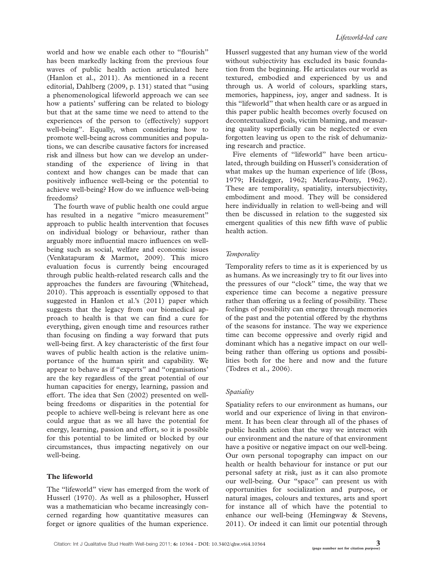world and how we enable each other to ''flourish'' has been markedly lacking from the previous four waves of public health action articulated here (Hanlon et al., 2011). As mentioned in a recent editorial, Dahlberg (2009, p. 131) stated that ''using a phenomenological lifeworld approach we can see how a patients' suffering can be related to biology but that at the same time we need to attend to the experiences of the person to (effectively) support well-being''. Equally, when considering how to promote well-being across communities and populations, we can describe causative factors for increased risk and illness but how can we develop an understanding of the experience of living in that context and how changes can be made that can positively influence well-being or the potential to achieve well-being? How do we influence well-being freedoms?

The fourth wave of public health one could argue has resulted in a negative "micro measurement" approach to public health intervention that focuses on individual biology or behaviour, rather than arguably more influential macro influences on wellbeing such as social, welfare and economic issues (Venkatapuram & Marmot, 2009). This micro evaluation focus is currently being encouraged through public health-related research calls and the approaches the funders are favouring (Whitehead, 2010). This approach is essentially opposed to that suggested in Hanlon et al.'s (2011) paper which suggests that the legacy from our biomedical approach to health is that we can find a cure for everything, given enough time and resources rather than focusing on finding a way forward that puts well-being first. A key characteristic of the first four waves of public health action is the relative unimportance of the human spirit and capability. We appear to behave as if ''experts'' and ''organisations' are the key regardless of the great potential of our human capacities for energy, learning, passion and effort. The idea that Sen (2002) presented on wellbeing freedoms or disparities in the potential for people to achieve well-being is relevant here as one could argue that as we all have the potential for energy, learning, passion and effort, so it is possible for this potential to be limited or blocked by our circumstances, thus impacting negatively on our well-being.

## The lifeworld

The "lifeworld" view has emerged from the work of Husserl (1970). As well as a philosopher, Husserl was a mathematician who became increasingly concerned regarding how quantitative measures can forget or ignore qualities of the human experience.

Husserl suggested that any human view of the world without subjectivity has excluded its basic foundation from the beginning. He articulates our world as textured, embodied and experienced by us and through us. A world of colours, sparkling stars, memories, happiness, joy, anger and sadness. It is this ''lifeworld'' that when health care or as argued in this paper public health becomes overly focused on decontextualized goals, victim blaming, and measuring quality superficially can be neglected or even forgotten leaving us open to the risk of dehumanizing research and practice.

Five elements of ''lifeworld'' have been articulated, through building on Husserl's consideration of what makes up the human experience of life (Boss, 1979; Heidegger, 1962; Merleau-Ponty, 1962). These are temporality, spatiality, intersubjectivity, embodiment and mood. They will be considered here individually in relation to well-being and will then be discussed in relation to the suggested six emergent qualities of this new fifth wave of public health action.

#### Temporality

Temporality refers to time as it is experienced by us as humans. As we increasingly try to fit our lives into the pressures of our ''clock'' time, the way that we experience time can become a negative pressure rather than offering us a feeling of possibility. These feelings of possibility can emerge through memories of the past and the potential offered by the rhythms of the seasons for instance. The way we experience time can become oppressive and overly rigid and dominant which has a negative impact on our wellbeing rather than offering us options and possibilities both for the here and now and the future (Todres et al., 2006).

#### Spatiality

Spatiality refers to our environment as humans, our world and our experience of living in that environment. It has been clear through all of the phases of public health action that the way we interact with our environment and the nature of that environment have a positive or negative impact on our well-being. Our own personal topography can impact on our health or health behaviour for instance or put our personal safety at risk, just as it can also promote our well-being. Our ''space'' can present us with opportunities for socialization and purpose, or natural images, colours and textures, arts and sport for instance all of which have the potential to enhance our well-being (Hemingway & Stevens, 2011). Or indeed it can limit our potential through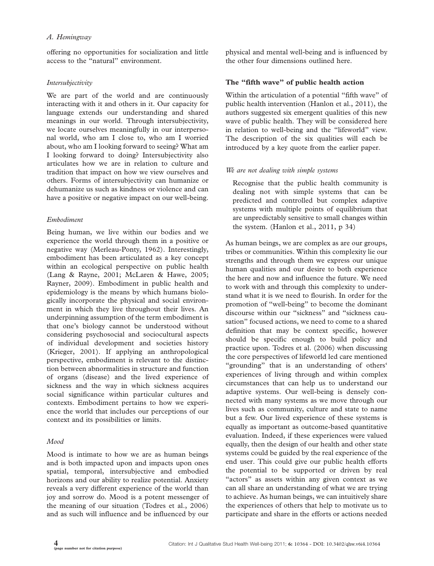offering no opportunities for socialization and little access to the ''natural'' environment.

## Intersubjectivity

We are part of the world and are continuously interacting with it and others in it. Our capacity for language extends our understanding and shared meanings in our world. Through intersubjectivity, we locate ourselves meaningfully in our interpersonal world, who am I close to, who am I worried about, who am I looking forward to seeing? What am I looking forward to doing? Intersubjectivity also articulates how we are in relation to culture and tradition that impact on how we view ourselves and others. Forms of intersubjectivity can humanize or dehumanize us such as kindness or violence and can have a positive or negative impact on our well-being.

## Embodiment

Being human, we live within our bodies and we experience the world through them in a positive or negative way (Merleau-Ponty, 1962). Interestingly, embodiment has been articulated as a key concept within an ecological perspective on public health (Lang & Rayne, 2001; McLaren & Hawe, 2005; Rayner, 2009). Embodiment in public health and epidemiology is the means by which humans biologically incorporate the physical and social environment in which they live throughout their lives. An underpinning assumption of the term embodiment is that one's biology cannot be understood without considering psychosocial and sociocultural aspects of individual development and societies history (Krieger, 2001). If applying an anthropological perspective, embodiment is relevant to the distinction between abnormalities in structure and function of organs (disease) and the lived experience of sickness and the way in which sickness acquires social significance within particular cultures and contexts. Embodiment pertains to how we experience the world that includes our perceptions of our context and its possibilities or limits.

## Mood

Mood is intimate to how we are as human beings and is both impacted upon and impacts upon ones spatial, temporal, intersubjective and embodied horizons and our ability to realize potential. Anxiety reveals a very different experience of the world than joy and sorrow do. Mood is a potent messenger of the meaning of our situation (Todres et al., 2006) and as such will influence and be influenced by our physical and mental well-being and is influenced by the other four dimensions outlined here.

## The ''fifth wave'' of public health action

Within the articulation of a potential ''fifth wave'' of public health intervention (Hanlon et al., 2011), the authors suggested six emergent qualities of this new wave of public health. They will be considered here in relation to well-being and the ''lifeworld'' view. The description of the six qualities will each be introduced by a key quote from the earlier paper.

## We are not dealing with simple systems

Recognise that the public health community is dealing not with simple systems that can be predicted and controlled but complex adaptive systems with multiple points of equilibrium that are unpredictably sensitive to small changes within the system. (Hanlon et al., 2011, p 34)

As human beings, we are complex as are our groups, tribes or communities. Within this complexity lie our strengths and through them we express our unique human qualities and our desire to both experience the here and now and influence the future. We need to work with and through this complexity to understand what it is we need to flourish. In order for the promotion of ''well-being'' to become the dominant discourse within our ''sickness'' and ''sickness causation'' focused actions, we need to come to a shared definition that may be context specific, however should be specific enough to build policy and practice upon. Todres et al. (2006) when discussing the core perspectives of lifeworld led care mentioned "grounding" that is an understanding of others' experiences of living through and within complex circumstances that can help us to understand our adaptive systems. Our well-being is densely connected with many systems as we move through our lives such as community, culture and state to name but a few. Our lived experience of these systems is equally as important as outcome-based quantitative evaluation. Indeed, if these experiences were valued equally, then the design of our health and other state systems could be guided by the real experience of the end user. This could give our public health efforts the potential to be supported or driven by real "actors" as assets within any given context as we can all share an understanding of what we are trying to achieve. As human beings, we can intuitively share the experiences of others that help to motivate us to participate and share in the efforts or actions needed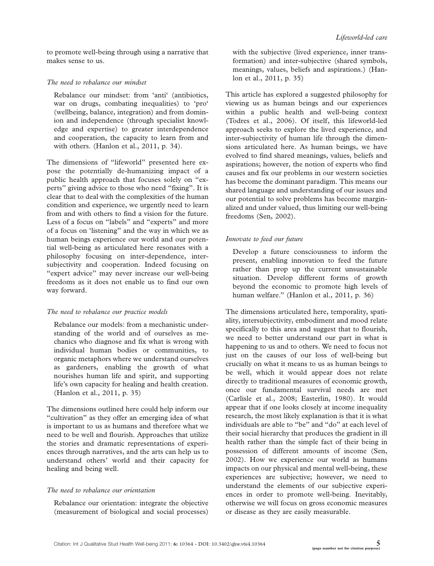to promote well-being through using a narrative that makes sense to us.

### The need to rebalance our mindset

Rebalance our mindset: from 'anti' (antibiotics, war on drugs, combating inequalities) to 'pro' (wellbeing, balance, integration) and from dominion and independence (through specialist knowledge and expertise) to greater interdependence and cooperation, the capacity to learn from and with others. (Hanlon et al., 2011, p. 34).

The dimensions of ''lifeworld'' presented here expose the potentially de-humanizing impact of a public health approach that focuses solely on ''experts'' giving advice to those who need ''fixing''. It is clear that to deal with the complexities of the human condition and experience, we urgently need to learn from and with others to find a vision for the future. Less of a focus on "labels" and "experts" and more of a focus on 'listening'' and the way in which we as human beings experience our world and our potential well-being as articulated here resonates with a philosophy focusing on inter-dependence, intersubjectivity and cooperation. Indeed focusing on "expert advice" may never increase our well-being freedoms as it does not enable us to find our own way forward.

#### The need to rebalance our practice models

Rebalance our models: from a mechanistic understanding of the world and of ourselves as mechanics who diagnose and fix what is wrong with individual human bodies or communities, to organic metaphors where we understand ourselves as gardeners, enabling the growth of what nourishes human life and spirit, and supporting life's own capacity for healing and health creation. (Hanlon et al., 2011, p. 35)

The dimensions outlined here could help inform our ''cultivation'' as they offer an emerging idea of what is important to us as humans and therefore what we need to be well and flourish. Approaches that utilize the stories and dramatic representations of experiences through narratives, and the arts can help us to understand others' world and their capacity for healing and being well.

## The need to rebalance our orientation

Rebalance our orientation: integrate the objective (measurement of biological and social processes)

with the subjective (lived experience, inner transformation) and inter-subjective (shared symbols, meanings, values, beliefs and aspirations.) (Hanlon et al., 2011, p. 35)

This article has explored a suggested philosophy for viewing us as human beings and our experiences within a public health and well-being context (Todres et al., 2006). Of itself, this lifeworld-led approach seeks to explore the lived experience, and inter-subjectivity of human life through the dimensions articulated here. As human beings, we have evolved to find shared meanings, values, beliefs and aspirations; however, the notion of experts who find causes and fix our problems in our western societies has become the dominant paradigm. This means our shared language and understanding of our issues and our potential to solve problems has become marginalized and under valued, thus limiting our well-being freedoms (Sen, 2002).

## Innovate to feed our future

Develop a future consciousness to inform the present, enabling innovation to feed the future rather than prop up the current unsustainable situation. Develop different forms of growth beyond the economic to promote high levels of human welfare.'' (Hanlon et al., 2011, p. 36)

The dimensions articulated here, temporality, spatiality, intersubjectivity, embodiment and mood relate specifically to this area and suggest that to flourish, we need to better understand our part in what is happening to us and to others. We need to focus not just on the causes of our loss of well-being but crucially on what it means to us as human beings to be well, which it would appear does not relate directly to traditional measures of economic growth, once our fundamental survival needs are met (Carlisle et al., 2008; Easterlin, 1980). It would appear that if one looks closely at income inequality research, the most likely explanation is that it is what individuals are able to ''be'' and ''do'' at each level of their social hierarchy that produces the gradient in ill health rather than the simple fact of their being in possession of different amounts of income (Sen, 2002). How we experience our world as humans impacts on our physical and mental well-being, these experiences are subjective; however, we need to understand the elements of our subjective experiences in order to promote well-being. Inevitably, otherwise we will focus on gross economic measures or disease as they are easily measurable.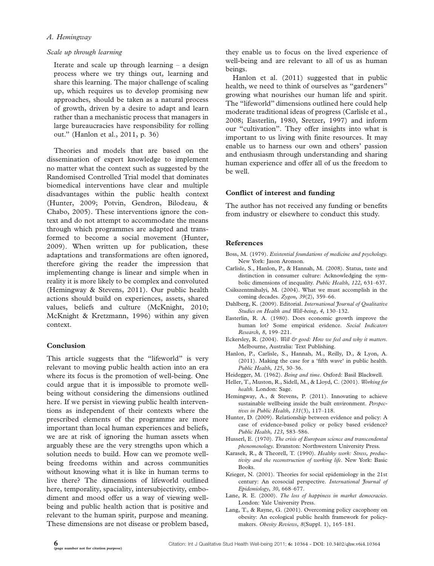### A. Hemingway

### Scale up through learning

Iterate and scale up through learning - a design process where we try things out, learning and share this learning. The major challenge of scaling up, which requires us to develop promising new approaches, should be taken as a natural process of growth, driven by a desire to adapt and learn rather than a mechanistic process that managers in large bureaucracies have responsibility for rolling out.'' (Hanlon et al., 2011, p. 36)

Theories and models that are based on the dissemination of expert knowledge to implement no matter what the context such as suggested by the Randomised Controlled Trial model that dominates biomedical interventions have clear and multiple disadvantages within the public health context (Hunter, 2009; Potvin, Gendron, Bilodeau, & Chabo, 2005). These interventions ignore the context and do not attempt to accommodate the means through which programmes are adapted and transformed to become a social movement (Hunter, 2009). When written up for publication, these adaptations and transformations are often ignored, therefore giving the reader the impression that implementing change is linear and simple when in reality it is more likely to be complex and convoluted (Hemingway & Stevens, 2011). Our public health actions should build on experiences, assets, shared values, beliefs and culture (McKnight, 2010; McKnight & Kretzmann, 1996) within any given context.

## Conclusion

This article suggests that the "lifeworld" is very relevant to moving public health action into an era where its focus is the promotion of well-being. One could argue that it is impossible to promote wellbeing without considering the dimensions outlined here. If we persist in viewing public health interventions as independent of their contexts where the prescribed elements of the programme are more important than local human experiences and beliefs, we are at risk of ignoring the human assets when arguably these are the very strengths upon which a solution needs to build. How can we promote wellbeing freedoms within and across communities without knowing what it is like in human terms to live there? The dimensions of lifeworld outlined here, temporality, spaciality, intersubjectivity, embodiment and mood offer us a way of viewing wellbeing and public health action that is positive and relevant to the human spirit, purpose and meaning. These dimensions are not disease or problem based, they enable us to focus on the lived experience of well-being and are relevant to all of us as human beings.

Hanlon et al. (2011) suggested that in public health, we need to think of ourselves as ''gardeners'' growing what nourishes our human life and spirit. The ''lifeworld'' dimensions outlined here could help moderate traditional ideas of progress (Carlisle et al., 2008; Easterlin, 1980, Sretzer, 1997) and inform our "cultivation". They offer insights into what is important to us living with finite resources. It may enable us to harness our own and others' passion and enthusiasm through understanding and sharing human experience and offer all of us the freedom to be well.

## Conflict of interest and funding

The author has not received any funding or benefits from industry or elsewhere to conduct this study.

## References

- Boss, M. (1979). Existential foundations of medicine and psychology. New York: Jason Aronson.
- Carlisle, S., Hanlon, P., & Hannah, M. (2008). Status, taste and distinction in consumer culture: Acknowledging the symbolic dimensions of inequality. Public Health, 122, 631-637.
- Csikszentmihalyi, M. (2004). What we must accomplish in the coming decades. Zygon, 39(2), 359-66.
- Dahlberg, K. (2009). Editorial. International Journal of Oualitative Studies on Health and Well-being, 4, 130-132.
- Easterlin, R. A. (1980). Does economic growth improve the human lot? Some empirical evidence. Social Indicators Research, 8, 199-221.
- Eckersley, R. (2004). Well & good: How we feel and why it matters. Melbourne, Australia: Text Publishing.
- Hanlon, P., Carlisle, S., Hannah, M., Reilly, D., & Lyon, A. (2011). Making the case for a 'fifth wave' in public health. Public Health, 125, 30-36.
- Heidegger, M. (1962). Being and time. Oxford: Basil Blackwell.
- Heller, T., Muston, R., Sidell, M., & Lloyd, C. (2001). Working for health. London: Sage.
- Hemingway, A., & Stevens, P. (2011). Innovating to achieve sustainable wellbeing inside the built environment. Perspectives in Public Health, 131(3), 117-118.
- Hunter, D. (2009). Relationship between evidence and policy: A case of evidence-based policy or policy based evidence? Public Health, 123, 583-586.
- Husserl, E. (1970). The crisis of European science and transcendental phenomenology. Evanston: Northwestern University Press.
- Karasek, R., & Theorell, T. (1990). Healthy work: Stress, productivity and the reconstruction of working life. New York: Basic Books.
- Krieger, N. (2001). Theories for social epidemiology in the 21st century: An ecosocial perspective. International Journal of Epidemiology, 30, 668-677.
- Lane, R. E. (2000). The loss of happiness in market democracies. London: Yale University Press.
- Lang, T., & Rayne, G. (2001). Overcoming policy cacophony on obesity: An ecological public health framework for policymakers. Obesity Reviews, 8(Suppl. 1), 165-181.